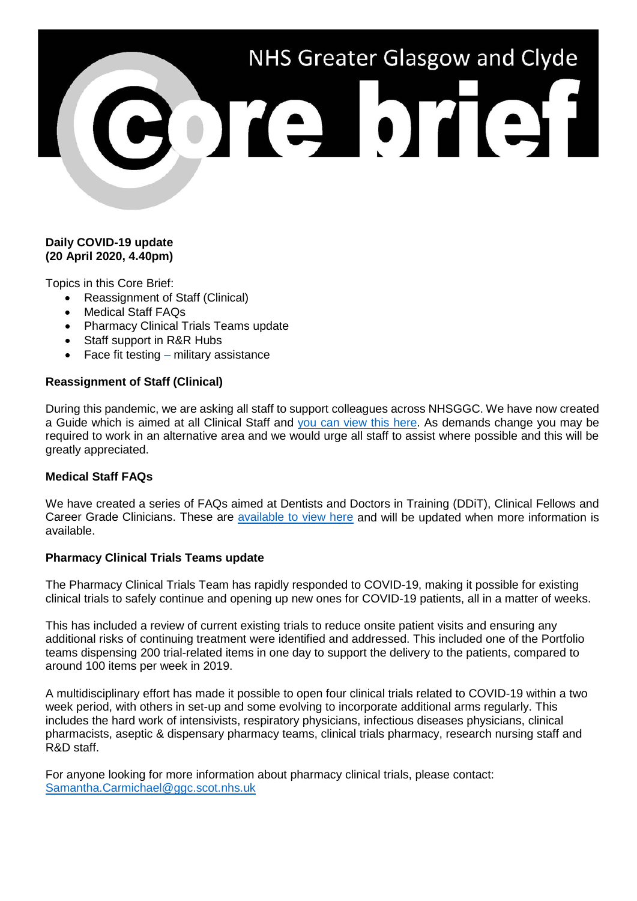# NHS Greater Glasgow and Clyde ore brief

# **Daily COVID-19 update (20 April 2020, 4.40pm)**

Topics in this Core Brief:

- Reassignment of Staff (Clinical)
- Medical Staff FAQs
- Pharmacy Clinical Trials Teams update
- Staff support in R&R Hubs
- Face fit testing  $-$  military assistance

# **Reassignment of Staff (Clinical)**

During this pandemic, we are asking all staff to support colleagues across NHSGGC. We have now created a Guide which is aimed at all Clinical Staff and [you can view this here.](https://www.nhsggc.org.uk/media/260008/covid-19_staff_reasignment_orientation_pack_april_2020-_-clinical.pdf) As demands change you may be required to work in an alternative area and we would urge all staff to assist where possible and this will be greatly appreciated.

# **Medical Staff FAQs**

We have created a series of FAQs aimed at Dentists and Doctors in Training (DDiT), Clinical Fellows and Career Grade Clinicians. These are [available to view here](https://www.nhsggc.org.uk/your-health/health-issues/covid-19-coronavirus/for-nhsggc-staff/for-medical-staff/faqs/) and will be updated when more information is available.

#### **Pharmacy Clinical Trials Teams update**

The Pharmacy Clinical Trials Team has rapidly responded to COVID-19, making it possible for existing clinical trials to safely continue and opening up new ones for COVID-19 patients, all in a matter of weeks.

This has included a review of current existing trials to reduce onsite patient visits and ensuring any additional risks of continuing treatment were identified and addressed. This included one of the Portfolio teams dispensing 200 trial-related items in one day to support the delivery to the patients, compared to around 100 items per week in 2019.

A multidisciplinary effort has made it possible to open four clinical trials related to COVID-19 within a two week period, with others in set-up and some evolving to incorporate additional arms regularly. This includes the hard work of intensivists, respiratory physicians, infectious diseases physicians, clinical pharmacists, aseptic & dispensary pharmacy teams, clinical trials pharmacy, research nursing staff and R&D staff.

For anyone looking for more information about pharmacy clinical trials, please contact: [Samantha.Carmichael@ggc.scot.nhs.uk](mailto:Samantha.Carmichael@ggc.scot.nhs.uk)